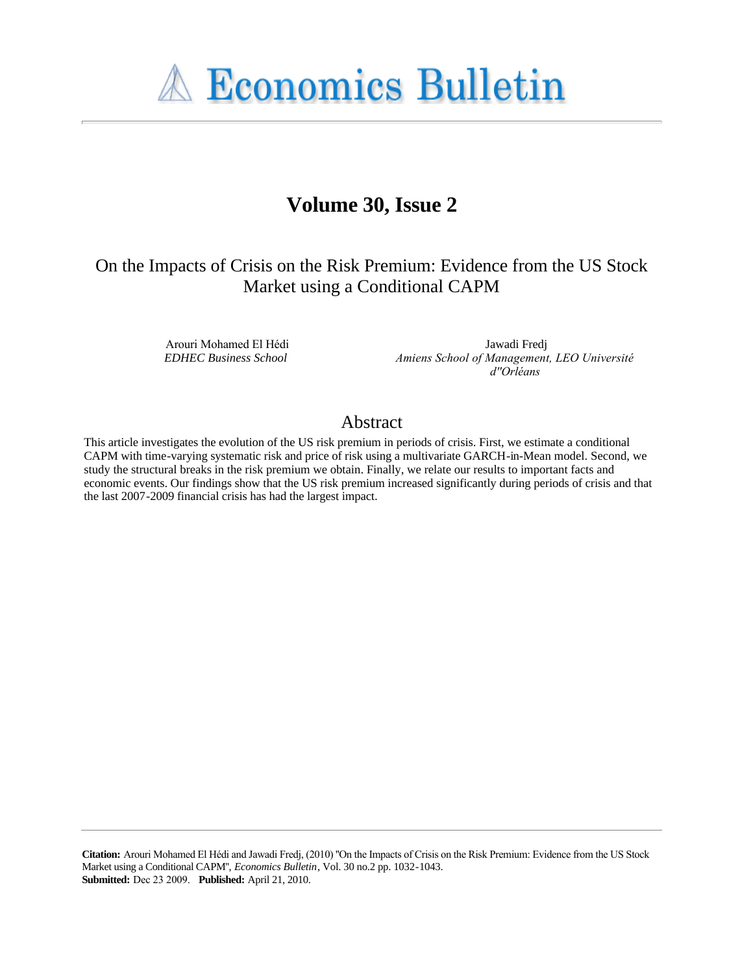**A Economics Bulletin** 

# **Volume 30, Issue 2**

# On the Impacts of Crisis on the Risk Premium: Evidence from the US Stock Market using a Conditional CAPM

Arouri Mohamed El Hédi *EDHEC Business School*

Jawadi Fredj *Amiens School of Management, LEO Université d''Orléans*

# Abstract

This article investigates the evolution of the US risk premium in periods of crisis. First, we estimate a conditional CAPM with time-varying systematic risk and price of risk using a multivariate GARCH-in-Mean model. Second, we study the structural breaks in the risk premium we obtain. Finally, we relate our results to important facts and economic events. Our findings show that the US risk premium increased significantly during periods of crisis and that the last 2007-2009 financial crisis has had the largest impact.

**Citation:** Arouri Mohamed El Hédi and Jawadi Fredj, (2010) ''On the Impacts of Crisis on the Risk Premium: Evidence from the US Stock Market using a Conditional CAPM'', *Economics Bulletin*, Vol. 30 no.2 pp. 1032-1043. **Submitted:** Dec 23 2009. **Published:** April 21, 2010.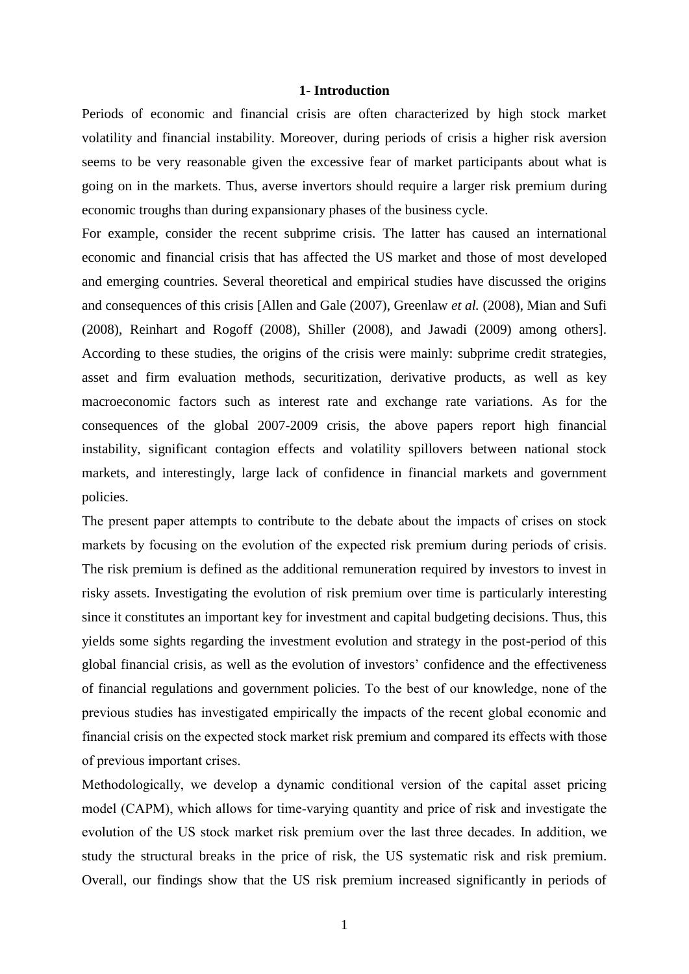# **1- Introduction**

Periods of economic and financial crisis are often characterized by high stock market volatility and financial instability. Moreover, during periods of crisis a higher risk aversion seems to be very reasonable given the excessive fear of market participants about what is going on in the markets. Thus, averse invertors should require a larger risk premium during economic troughs than during expansionary phases of the business cycle.

For example, consider the recent subprime crisis. The latter has caused an international economic and financial crisis that has affected the US market and those of most developed and emerging countries. Several theoretical and empirical studies have discussed the origins and consequences of this crisis [Allen and Gale (2007), Greenlaw *et al.* (2008), Mian and Sufi (2008), Reinhart and Rogoff (2008), Shiller (2008), and Jawadi (2009) among others]. According to these studies, the origins of the crisis were mainly: subprime credit strategies, asset and firm evaluation methods, securitization, derivative products, as well as key macroeconomic factors such as interest rate and exchange rate variations. As for the consequences of the global 2007-2009 crisis, the above papers report high financial instability, significant contagion effects and volatility spillovers between national stock markets, and interestingly, large lack of confidence in financial markets and government policies.

The present paper attempts to contribute to the debate about the impacts of crises on stock markets by focusing on the evolution of the expected risk premium during periods of crisis. The risk premium is defined as the additional remuneration required by investors to invest in risky assets. Investigating the evolution of risk premium over time is particularly interesting since it constitutes an important key for investment and capital budgeting decisions. Thus, this yields some sights regarding the investment evolution and strategy in the post-period of this global financial crisis, as well as the evolution of investors' confidence and the effectiveness of financial regulations and government policies. To the best of our knowledge, none of the previous studies has investigated empirically the impacts of the recent global economic and financial crisis on the expected stock market risk premium and compared its effects with those of previous important crises.

Methodologically, we develop a dynamic conditional version of the capital asset pricing model (CAPM), which allows for time-varying quantity and price of risk and investigate the evolution of the US stock market risk premium over the last three decades. In addition, we study the structural breaks in the price of risk, the US systematic risk and risk premium. Overall, our findings show that the US risk premium increased significantly in periods of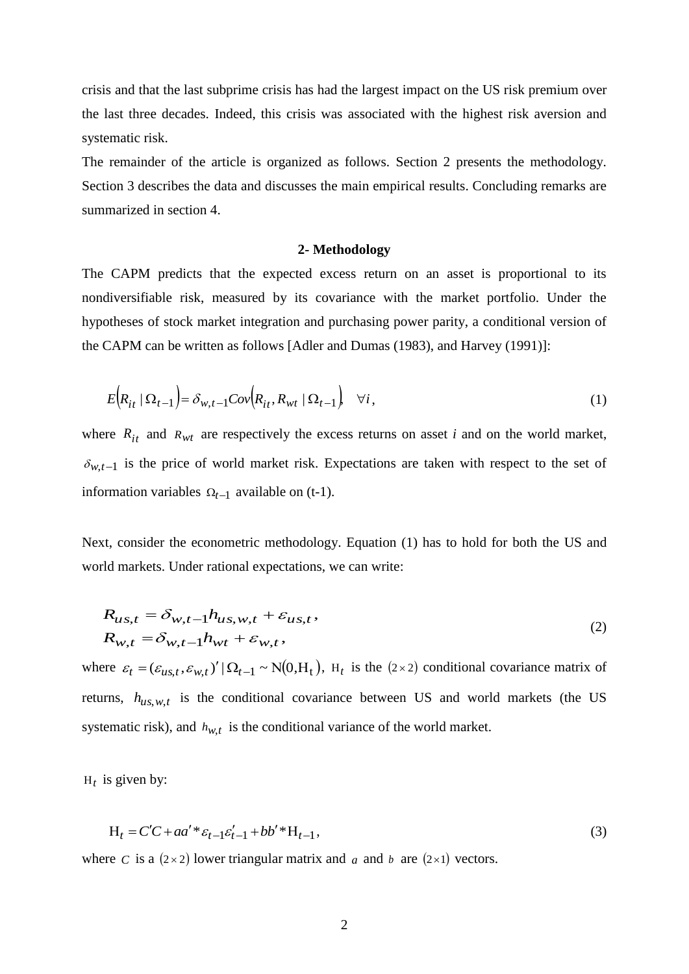crisis and that the last subprime crisis has had the largest impact on the US risk premium over the last three decades. Indeed, this crisis was associated with the highest risk aversion and systematic risk.

The remainder of the article is organized as follows. Section 2 presents the methodology. Section 3 describes the data and discusses the main empirical results. Concluding remarks are summarized in section 4.

# **2- Methodology**

The CAPM predicts that the expected excess return on an asset is proportional to its nondiversifiable risk, measured by its covariance with the market portfolio. Under the hypotheses of stock market integration and purchasing power parity, a conditional version of the CAPM can be written as follows [Adler and Dumas (1983), and Harvey (1991)]:

$$
E\left(R_{it} \mid \Omega_{t-1}\right) = \delta_{w,t-1}Cov\left(R_{it}, R_{wt} \mid \Omega_{t-1}\right) \quad \forall i,
$$
\n(1)

where  $R_{it}$  and  $R_{wt}$  are respectively the excess returns on asset *i* and on the world market,  $\delta_{w,t-1}$  is the price of world market risk. Expectations are taken with respect to the set of information variables  $\Omega_{t-1}$  available on (t-1).

Next, consider the econometric methodology. Equation (1) has to hold for both the US and world markets. Under rational expectations, we can write:

$$
R_{us,t} = \delta_{w,t-1} h_{us,w,t} + \varepsilon_{us,t},
$$
  
\n
$$
R_{w,t} = \delta_{w,t-1} h_{wt} + \varepsilon_{w,t},
$$
\n(2)

where  $\varepsilon_t = (\varepsilon_{us,t}, \varepsilon_{w,t})' \, |\, \Omega_{t-1} \sim N(0, H_t)$ ,  $H_t$  is the (2×2) conditional covariance matrix of returns,  $h_{us,w,t}$  is the conditional covariance between US and world markets (the US systematic risk), and  $h_{w,t}$  is the conditional variance of the world market.

 $H_t$  is given by:

$$
H_t = C'C + aa' * \varepsilon_{t-1} \varepsilon_{t-1}' + bb' * H_{t-1},
$$
\n(3)

where *C* is a  $(2 \times 2)$  lower triangular matrix and *a* and *b* are  $(2 \times 1)$  vectors.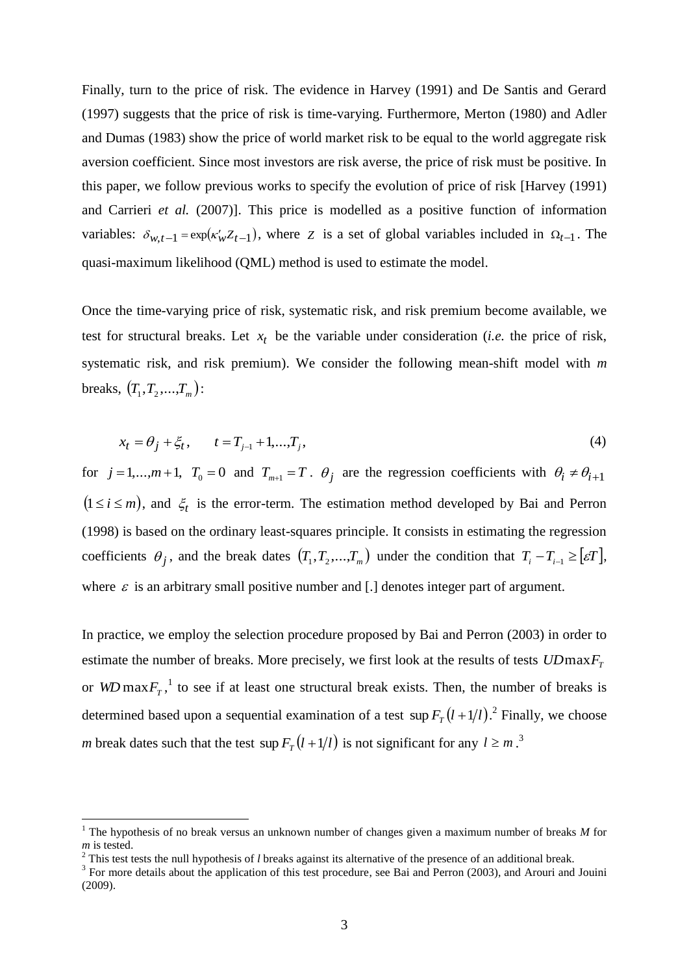Finally, turn to the price of risk. The evidence in Harvey (1991) and De Santis and Gerard (1997) suggests that the price of risk is time-varying. Furthermore, Merton (1980) and Adler and Dumas (1983) show the price of world market risk to be equal to the world aggregate risk aversion coefficient. Since most investors are risk averse, the price of risk must be positive. In this paper, we follow previous works to specify the evolution of price of risk [Harvey (1991) and Carrieri *et al.* (2007)]. This price is modelled as a positive function of information variables:  $\delta_{w,t-1} = \exp(\kappa_w' Z_{t-1})$ , where *Z* is a set of global variables included in  $\Omega_{t-1}$ . The quasi-maximum likelihood (QML) method is used to estimate the model.

Once the time-varying price of risk, systematic risk, and risk premium become available, we test for structural breaks. Let  $x_t$  be the variable under consideration (*i.e.* the price of risk, systematic risk, and risk premium). We consider the following mean-shift model with *m* breaks,  $(T_1, T_2,...,T_m)$ :

$$
x_t = \theta_j + \xi_t, \qquad t = T_{j-1} + 1, \dots, T_j,
$$
\n(4)

for  $j = 1,...,m+1$ ,  $T_0 = 0$  and  $T_{m+1} = T$ .  $\theta_j$  are the regression coefficients with  $\theta_i \neq \theta_{i+1}$  $(1 \le i \le m)$ , and  $\xi_t$  is the error-term. The estimation method developed by Bai and Perron (1998) is based on the ordinary least-squares principle. It consists in estimating the regression coefficients  $\theta_j$ , and the break dates  $(T_1, T_2, ..., T_m)$  under the condition that  $T_i - T_{i-1} \geq [\varepsilon T]$ , where  $\varepsilon$  is an arbitrary small positive number and [.] denotes integer part of argument.

In practice, we employ the selection procedure proposed by Bai and Perron (2003) in order to estimate the number of breaks. More precisely, we first look at the results of tests  $UDmaxF<sub>T</sub>$ or WD max $F_T$ ,<sup>1</sup> to see if at least one structural break exists. Then, the number of breaks is determined based upon a sequential examination of a test  $\sup F_T(l+1/l)$ .<sup>2</sup> Finally, we choose *m* break dates such that the test  $\sup F_T(l+1/l)$  is not significant for any  $l \geq m$ .<sup>3</sup>

<u>.</u>

<sup>&</sup>lt;sup>1</sup> The hypothesis of no break versus an unknown number of changes given a maximum number of breaks  $M$  for *m* is tested.

<sup>&</sup>lt;sup>2</sup> This test tests the null hypothesis of *l* breaks against its alternative of the presence of an additional break.

<sup>&</sup>lt;sup>3</sup> For more details about the application of this test procedure, see Bai and Perron (2003), and Arouri and Jouini (2009).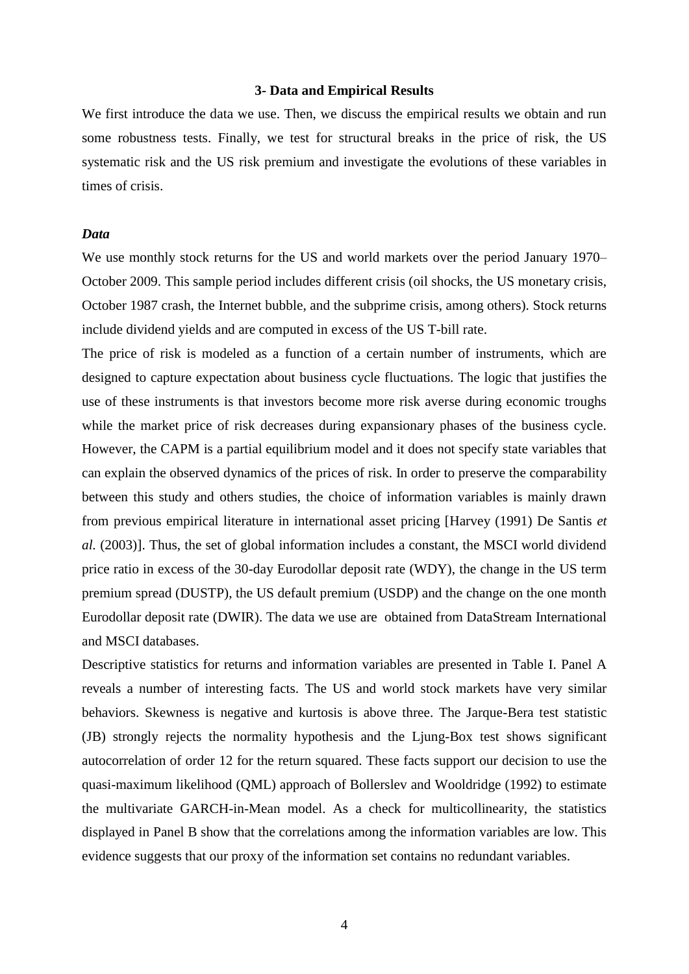# **3- Data and Empirical Results**

We first introduce the data we use. Then, we discuss the empirical results we obtain and run some robustness tests. Finally, we test for structural breaks in the price of risk, the US systematic risk and the US risk premium and investigate the evolutions of these variables in times of crisis.

# *Data*

We use monthly stock returns for the US and world markets over the period January 1970– October 2009. This sample period includes different crisis (oil shocks, the US monetary crisis, October 1987 crash, the Internet bubble, and the subprime crisis, among others). Stock returns include dividend yields and are computed in excess of the US T-bill rate.

The price of risk is modeled as a function of a certain number of instruments, which are designed to capture expectation about business cycle fluctuations. The logic that justifies the use of these instruments is that investors become more risk averse during economic troughs while the market price of risk decreases during expansionary phases of the business cycle. However, the CAPM is a partial equilibrium model and it does not specify state variables that can explain the observed dynamics of the prices of risk. In order to preserve the comparability between this study and others studies, the choice of information variables is mainly drawn from previous empirical literature in international asset pricing [Harvey (1991) De Santis *et al.* (2003)]. Thus, the set of global information includes a constant, the MSCI world dividend price ratio in excess of the 30-day Eurodollar deposit rate (WDY), the change in the US term premium spread (DUSTP), the US default premium (USDP) and the change on the one month Eurodollar deposit rate (DWIR). The data we use are obtained from DataStream International and MSCI databases.

Descriptive statistics for returns and information variables are presented in Table I. Panel A reveals a number of interesting facts. The US and world stock markets have very similar behaviors. Skewness is negative and kurtosis is above three. The Jarque-Bera test statistic (JB) strongly rejects the normality hypothesis and the Ljung-Box test shows significant autocorrelation of order 12 for the return squared. These facts support our decision to use the quasi-maximum likelihood (QML) approach of Bollerslev and Wooldridge (1992) to estimate the multivariate GARCH-in-Mean model. As a check for multicollinearity, the statistics displayed in Panel B show that the correlations among the information variables are low. This evidence suggests that our proxy of the information set contains no redundant variables.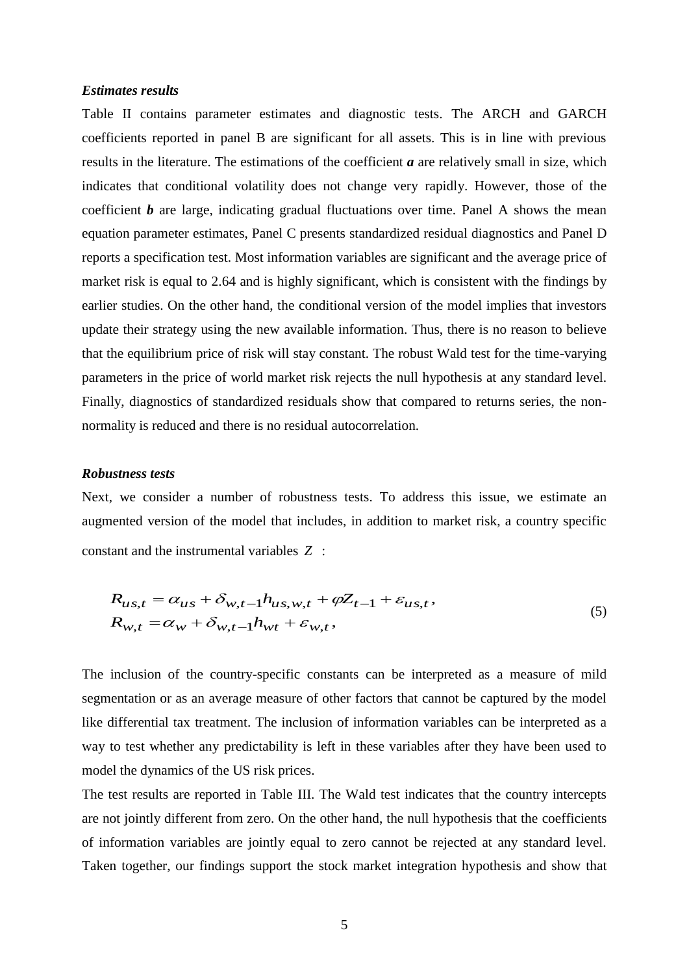# *Estimates results*

Table II contains parameter estimates and diagnostic tests. The ARCH and GARCH coefficients reported in panel B are significant for all assets. This is in line with previous results in the literature. The estimations of the coefficient *a* are relatively small in size, which indicates that conditional volatility does not change very rapidly. However, those of the coefficient *b* are large, indicating gradual fluctuations over time. Panel A shows the mean equation parameter estimates, Panel C presents standardized residual diagnostics and Panel D reports a specification test. Most information variables are significant and the average price of market risk is equal to 2.64 and is highly significant, which is consistent with the findings by earlier studies. On the other hand, the conditional version of the model implies that investors update their strategy using the new available information. Thus, there is no reason to believe that the equilibrium price of risk will stay constant. The robust Wald test for the time-varying parameters in the price of world market risk rejects the null hypothesis at any standard level. Finally, diagnostics of standardized residuals show that compared to returns series, the nonnormality is reduced and there is no residual autocorrelation.

# *Robustness tests*

Next, we consider a number of robustness tests. To address this issue, we estimate an augmented version of the model that includes, in addition to market risk, a country specific constant and the instrumental variables *Z* :

$$
R_{us,t} = \alpha_{us} + \delta_{w,t-1} h_{us,w,t} + \varphi Z_{t-1} + \varepsilon_{us,t},
$$
  
\n
$$
R_{w,t} = \alpha_w + \delta_{w,t-1} h_{wt} + \varepsilon_{w,t},
$$
\n(5)

The inclusion of the country-specific constants can be interpreted as a measure of mild segmentation or as an average measure of other factors that cannot be captured by the model like differential tax treatment. The inclusion of information variables can be interpreted as a way to test whether any predictability is left in these variables after they have been used to model the dynamics of the US risk prices.

The test results are reported in Table III. The Wald test indicates that the country intercepts are not jointly different from zero. On the other hand, the null hypothesis that the coefficients of information variables are jointly equal to zero cannot be rejected at any standard level. Taken together, our findings support the stock market integration hypothesis and show that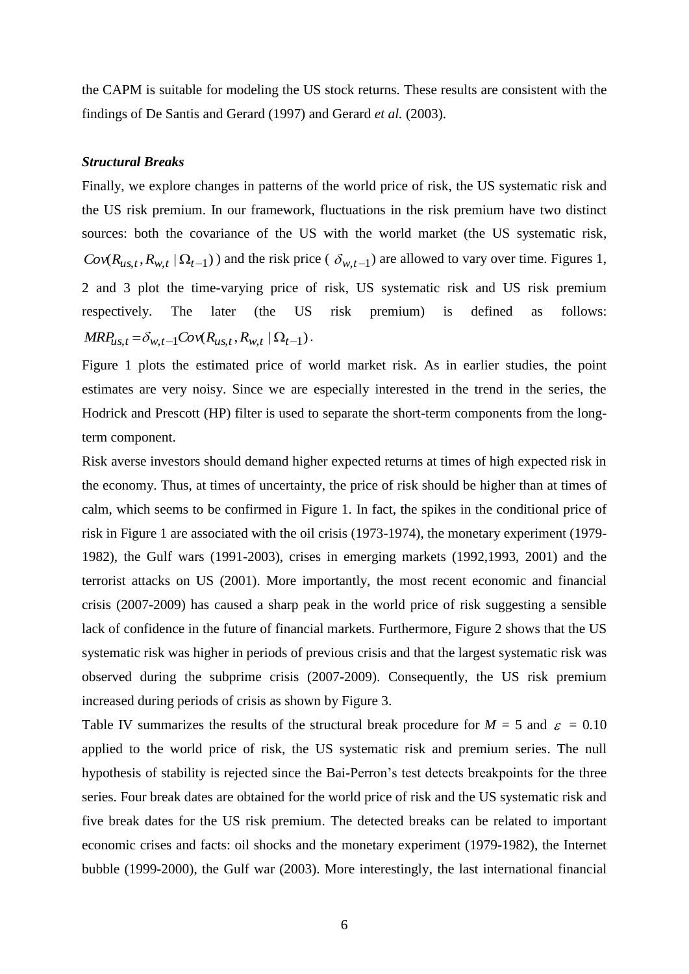the CAPM is suitable for modeling the US stock returns. These results are consistent with the findings of De Santis and Gerard (1997) and Gerard *et al.* (2003).

### *Structural Breaks*

Finally, we explore changes in patterns of the world price of risk, the US systematic risk and the US risk premium. In our framework, fluctuations in the risk premium have two distinct sources: both the covariance of the US with the world market (the US systematic risk,  $Cov(R_{us,t}, R_{w,t} | \Omega_{t-1})$  and the risk price ( $\delta_{w,t-1}$ ) are allowed to vary over time. Figures 1, 2 and 3 plot the time-varying price of risk, US systematic risk and US risk premium respectively. The later (the US risk premium) is defined as follows:  $MRP_{us,t} = \delta_{w,t-1}Cov(R_{us,t}, R_{w,t} | \Omega_{t-1}).$ 

Figure 1 plots the estimated price of world market risk. As in earlier studies, the point estimates are very noisy. Since we are especially interested in the trend in the series, the Hodrick and Prescott (HP) filter is used to separate the short-term components from the longterm component.

Risk averse investors should demand higher expected returns at times of high expected risk in the economy. Thus, at times of uncertainty, the price of risk should be higher than at times of calm, which seems to be confirmed in Figure 1. In fact, the spikes in the conditional price of risk in Figure 1 are associated with the oil crisis (1973-1974), the monetary experiment (1979- 1982), the Gulf wars (1991-2003), crises in emerging markets (1992,1993, 2001) and the terrorist attacks on US (2001). More importantly, the most recent economic and financial crisis (2007-2009) has caused a sharp peak in the world price of risk suggesting a sensible lack of confidence in the future of financial markets. Furthermore, Figure 2 shows that the US systematic risk was higher in periods of previous crisis and that the largest systematic risk was observed during the subprime crisis (2007-2009). Consequently, the US risk premium increased during periods of crisis as shown by Figure 3.

Table IV summarizes the results of the structural break procedure for  $M = 5$  and  $\varepsilon = 0.10$ applied to the world price of risk, the US systematic risk and premium series. The null hypothesis of stability is rejected since the Bai-Perron's test detects breakpoints for the three series. Four break dates are obtained for the world price of risk and the US systematic risk and five break dates for the US risk premium. The detected breaks can be related to important economic crises and facts: oil shocks and the monetary experiment (1979-1982), the Internet bubble (1999-2000), the Gulf war (2003). More interestingly, the last international financial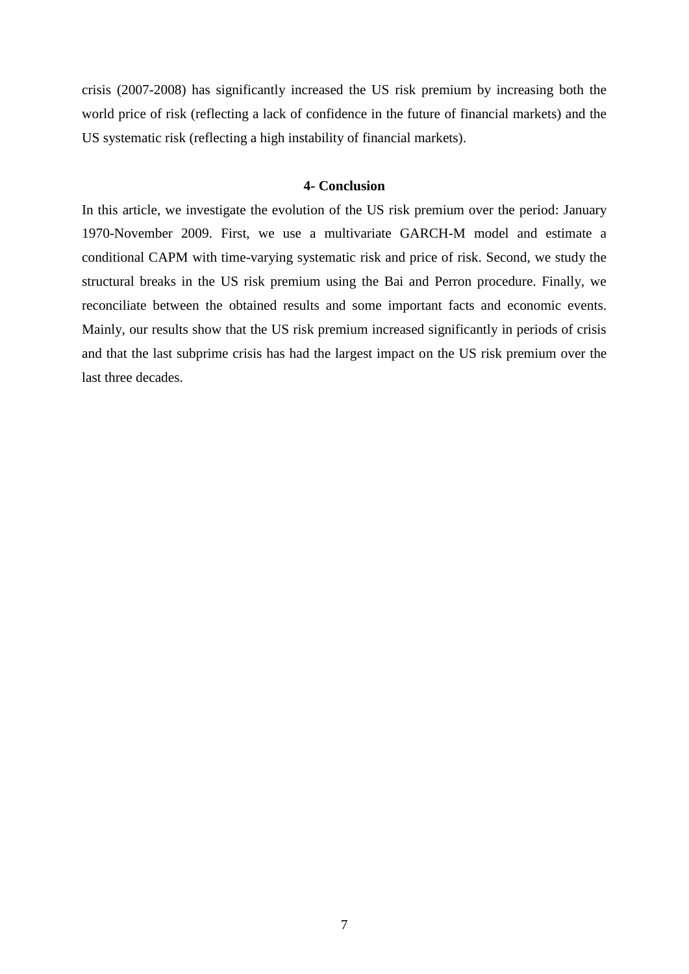crisis (2007-2008) has significantly increased the US risk premium by increasing both the world price of risk (reflecting a lack of confidence in the future of financial markets) and the US systematic risk (reflecting a high instability of financial markets).

# **4- Conclusion**

In this article, we investigate the evolution of the US risk premium over the period: January 1970-November 2009. First, we use a multivariate GARCH-M model and estimate a conditional CAPM with time-varying systematic risk and price of risk. Second, we study the structural breaks in the US risk premium using the Bai and Perron procedure. Finally, we reconciliate between the obtained results and some important facts and economic events. Mainly, our results show that the US risk premium increased significantly in periods of crisis and that the last subprime crisis has had the largest impact on the US risk premium over the last three decades.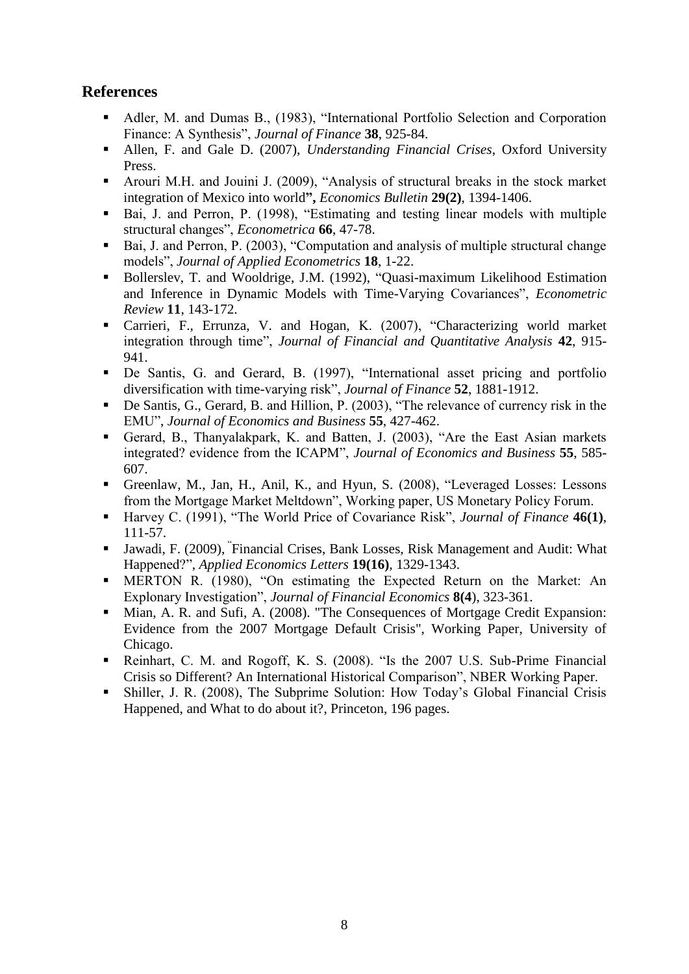# **References**

- Adler, M. and Dumas B., (1983), "International Portfolio Selection and Corporation Finance: A Synthesis", *Journal of Finance* **38**, 925-84.
- Allen, F. and Gale D. (2007), *Understanding Financial Crises*, Oxford University Press.
- Arouri M.H. and Jouini J. (2009), "Analysis of structural breaks in the stock market integration of Mexico into world**",** *Economics Bulletin* **29(2)**, 1394-1406.
- Bai, J. and Perron, P. (1998), "Estimating and testing linear models with multiple structural changes", *Econometrica* **66**, 47-78.
- Bai, J. and Perron, P. (2003), "Computation and analysis of multiple structural change models", *Journal of Applied Econometrics* **18**, 1-22.
- Bollerslev, T. and Wooldrige, J.M. (1992), "Quasi-maximum Likelihood Estimation and Inference in Dynamic Models with Time-Varying Covariances", *Econometric Review* **11**, 143-172.
- Carrieri, F., Errunza, V. and Hogan, K. (2007), "Characterizing world market integration through time", *Journal of Financial and Quantitative Analysis* **42**, 915- 941.
- De Santis, G. and Gerard, B. (1997), "International asset pricing and portfolio diversification with time-varying risk", *Journal of Finance* **52**, 1881-1912.
- De Santis, G., Gerard, B. and Hillion, P. (2003), "The relevance of currency risk in the EMU", *Journal of Economics and Business* **55**, 427-462.
- Gerard, B., Thanyalakpark, K. and Batten, J. (2003), "Are the East Asian markets integrated? evidence from the ICAPM", *Journal of Economics and Business* **55**, 585- 607.
- Greenlaw, M., Jan, H., Anil, K., and Hyun, S. (2008), "Leveraged Losses: Lessons from the Mortgage Market Meltdown", Working paper, US Monetary Policy Forum.
- Harvey C. (1991), "The World Price of Covariance Risk", *Journal of Finance* 46(1), 111-57.
- Jawadi, F. (2009), " Financial Crises, Bank Losses, Risk Management and Audit: What Happened?", *Applied Economics Letters* **19(16)**, 1329-1343.
- MERTON R. (1980), "On estimating the Expected Return on the Market: An Explonary Investigation", *Journal of Financial Economics* **8(4**), 323-361.
- Mian, A. R. and Sufi, A. (2008). "The Consequences of Mortgage Credit Expansion: Evidence from the 2007 Mortgage Default Crisis", Working Paper, University of Chicago.
- Reinhart, C. M. and Rogoff, K. S. (2008). "Is the 2007 U.S. Sub-Prime Financial Crisis so Different? An International Historical Comparison", NBER Working Paper.
- Shiller, J. R. (2008), The Subprime Solution: How Today's Global Financial Crisis Happened, and What to do about it?, Princeton, 196 pages.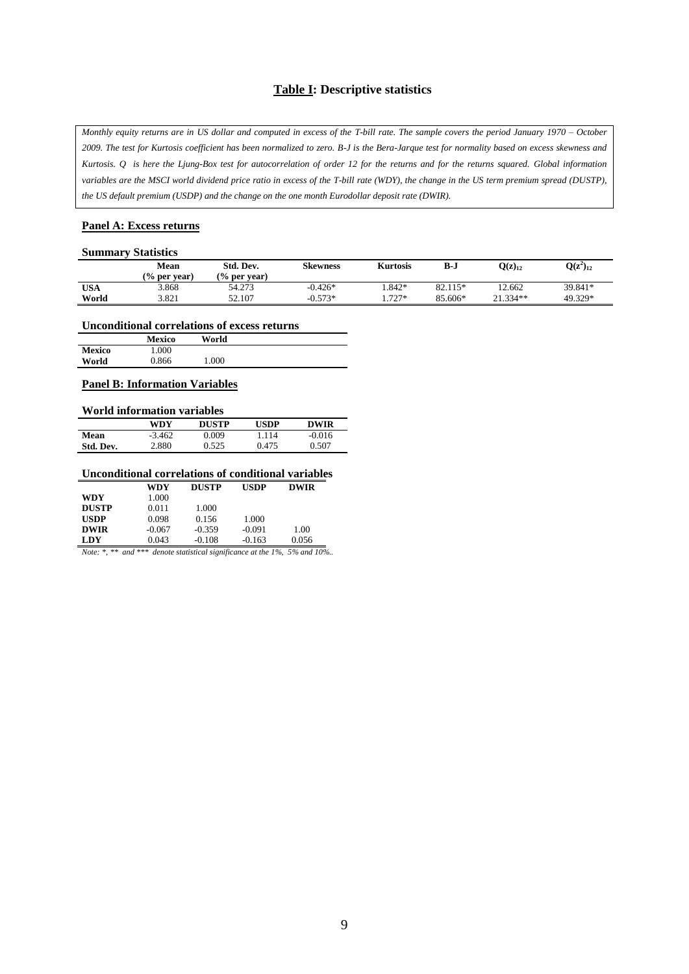# **Table I: Descriptive statistics**

*Monthly equity returns are in US dollar and computed in excess of the T-bill rate. The sample covers the period January 1970 – October 2009. The test for Kurtosis coefficient has been normalized to zero. B-J is the Bera-Jarque test for normality based on excess skewness and Kurtosis. Q is here the Ljung-Box test for autocorrelation of order 12 for the returns and for the returns squared. Global information variables are the MSCI world dividend price ratio in excess of the T-bill rate (WDY), the change in the US term premium spread (DUSTP), the US default premium (USDP) and the change on the one month Eurodollar deposit rate (DWIR).* 

#### **Panel A: Excess returns**

#### **Summary Statistics**

|            | Mean<br>$\frac{6}{6}$ per vear) | Std. Dev.<br>$\frac{6}{6}$ per vear) | <b>Skewness</b> | <b>Kurtosis</b> | B-J     | $Q(z)_{12}$ | $Q(z^2)_{12}$ |
|------------|---------------------------------|--------------------------------------|-----------------|-----------------|---------|-------------|---------------|
| <b>USA</b> | 3.868                           | 54.273                               | $-0.426*$       | $.842*$         | 82.115* | 12.662      | 39.841*       |
| World      | 3.821                           | 52.107                               | $-0.573*$       | $1.727*$        | 85.606* | 21.334**    | 49.329*       |

#### **Unconditional correlations of excess returns**

|        | <b>Mexico</b> | World |
|--------|---------------|-------|
| Mexico | 1.000         |       |
| World  | 0.866         | .000  |

#### **Panel B: Information Variables**

#### **World information variables**

|           | WDY      | <b>DUSTP</b> | <b>USDP</b> | <b>DWIR</b> |
|-----------|----------|--------------|-------------|-------------|
| Mean      | $-3.462$ | 9.009        | 1.114       | $-0.016$    |
| Std. Dev. | 2.880    | 0.525        | 0.475       | 0.507       |

# **Unconditional correlations of conditional variables**

|              | WDY      | <b>DUSTP</b> | <b>USDP</b> | <b>DWIR</b> |  |
|--------------|----------|--------------|-------------|-------------|--|
| WDY          | 1.000    |              |             |             |  |
| <b>DUSTP</b> | 0.011    | 1.000        |             |             |  |
| <b>USDP</b>  | 0.098    | 0.156        | 1.000       |             |  |
| <b>DWIR</b>  | $-0.067$ | $-0.359$     | $-0.091$    | 1.00        |  |
| LDY          | 0.043    | $-0.108$     | $-0.163$    | 0.056       |  |

*Note: \*, \*\* and \*\*\* denote statistical significance at the 1%, 5% and 10%..*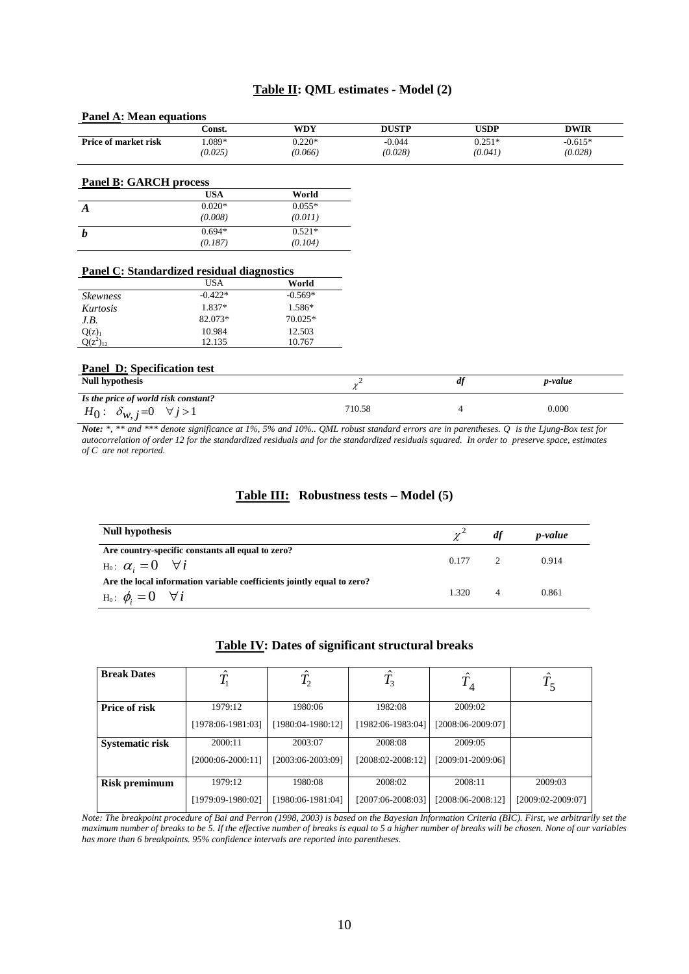# **Table II: QML estimates - Model (2)**

| <b>Panel A: Mean equations</b>                    |            |            |              |             |             |
|---------------------------------------------------|------------|------------|--------------|-------------|-------------|
|                                                   | Const.     | <b>WDY</b> | <b>DUSTP</b> | <b>USDP</b> | <b>DWIR</b> |
| Price of market risk                              | 1.089*     | $0.220*$   | $-0.044$     | $0.251*$    | $-0.615*$   |
|                                                   | (0.025)    | (0.066)    | (0.028)      | (0.041)     | (0.028)     |
| <b>Panel B: GARCH process</b>                     |            |            |              |             |             |
|                                                   | <b>USA</b> | World      |              |             |             |
| $\boldsymbol{A}$                                  | $0.020*$   | $0.055*$   |              |             |             |
|                                                   | (0.008)    | (0.011)    |              |             |             |
| $\boldsymbol{b}$                                  | $0.694*$   | $0.521*$   |              |             |             |
|                                                   | (0.187)    | (0.104)    |              |             |             |
| <b>Panel C: Standardized residual diagnostics</b> | <b>USA</b> | World      |              |             |             |
| <b>Skewness</b>                                   | $-0.422*$  | $-0.569*$  |              |             |             |
| Kurtosis                                          | 1.837*     | 1.586*     |              |             |             |
| J.B.                                              | 82.073*    | 70.025*    |              |             |             |
| $Q(z)_1$                                          | 10.984     | 12.503     |              |             |             |
| $Q(z^2)_{12}$                                     | 12.135     | 10.767     |              |             |             |
| <b>Panel D: Specification test</b>                |            |            |              |             |             |
| <b>Null hypothesis</b>                            |            |            | $\chi^2$     | df          | p-value     |
| Is the price of world risk constant?              |            |            |              |             |             |
| $H_0: \delta_{w, i}=0 \quad \forall j>1$          |            |            | 710.58       | 4           | 0.000       |

*Note: \*, \*\* and \*\*\* denote significance at 1%, 5% and 10%.. QML robust standard errors are in parentheses. Q is the Ljung-Box test for autocorrelation of order 12 for the standardized residuals and for the standardized residuals squared. In order to preserve space, estimates of C are not reported.* 

## **Table III: Robustness tests – Model (5)**

| Null hypothesis                                                                                             | $\gamma^2$ df |   | p-value |
|-------------------------------------------------------------------------------------------------------------|---------------|---|---------|
| Are country-specific constants all equal to zero?<br>$H_0: \ \alpha_i = 0 \quad \forall i$                  | $0.177$ 2     |   | 0.914   |
| Are the local information variable coefficients jointly equal to zero?<br>$H_0: \phi_i = 0 \quad \forall i$ | 1.320         | 4 | 0.861   |

## **Table IV: Dates of significant structural breaks**

| <b>Break Dates</b>     |                   | $T_{\scriptscriptstyle 2}$ | $\sim$<br>$T_3$   | $\cdot$ 4           | 1 <sub>5</sub>    |
|------------------------|-------------------|----------------------------|-------------------|---------------------|-------------------|
| <b>Price of risk</b>   | 1979:12           | 1980:06                    | 1982:08           | 2009:02             |                   |
|                        | [1978:06-1981:03] | $[1980:04-1980:12]$        | [1982:06-1983:04] | [2008:06-2009:07]   |                   |
| <b>Systematic risk</b> | 2000:11           | 2003:07                    | 2008:08           | 2009:05             |                   |
|                        | [2000:06-2000:11] | [2003:06-2003:09]          | [2008:02-2008:12] | $[2009:01-2009:06]$ |                   |
| Risk premimum          | 1979:12           | 1980:08                    | 2008:02           | 2008:11             | 2009:03           |
|                        | [1979:09-1980:02] | [1980:06-1981:04]          | [2007:06-2008:03] | [2008:06-2008:12]   | [2009:02-2009:07] |

*Note: The breakpoint procedure of Bai and Perron (1998, 2003) is based on the Bayesian Information Criteria (BIC). First, we arbitrarily set the maximum number of breaks to be 5. If the effective number of breaks is equal to 5 a higher number of breaks will be chosen. None of our variables has more than 6 breakpoints. 95% confidence intervals are reported into parentheses.*